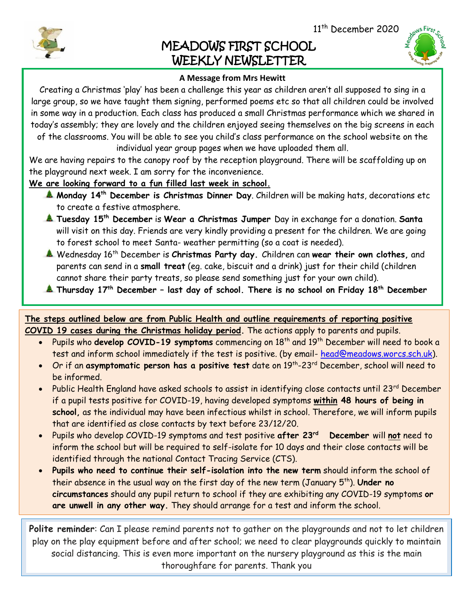11<sup>th</sup> December 2020

## MEADOWS FIRST SCHOOL WEEKLY NEWSLETTER



## **A Message from Mrs Hewitt**

Creating a Christmas 'play' has been a challenge this year as children aren't all supposed to sing in a large group, so we have taught them signing, performed poems etc so that all children could be involved in some way in a production. Each class has produced a small Christmas performance which we shared in today's assembly; they are lovely and the children enjoyed seeing themselves on the big screens in each of the classrooms. You will be able to see you child's class performance on the school website on the

individual year group pages when we have uploaded them all.

We are having repairs to the canopy roof by the reception playground. There will be scaffolding up on the playground next week. I am sorry for the inconvenience.

**We are looking forward to a fun filled last week in school.**

- **Monday 14th December is Christmas Dinner Day**. Children will be making hats, decorations etc to create a festive atmosphere.
- **Tuesday 15th December** is **Wear a Christmas Jumper** Day in exchange for a donation. **Santa**  will visit on this day. Friends are very kindly providing a present for the children. We are going to forest school to meet Santa- weather permitting (so a coat is needed).
- Wednesday 16th December is **Christmas Party day.** Children can **wear their own clothes,** and parents can send in a **small treat** (eg. cake, biscuit and a drink) just for their child (children cannot share their party treats, so please send something just for your own child).
- **Thursday 17th December – last day of school. There is no school on Friday 18th December**

**The steps outlined below are from Public Health and outline requirements of reporting positive COVID 19 cases during the Christmas holiday period.** The actions apply to parents and pupils.

- Pupils who **develop COVID-19 symptoms** commencing on 18<sup>th</sup> and 19<sup>th</sup> December will need to book a test and inform school immediately if the test is positive. (by email- [head@meadows.worcs.sch.uk\)](mailto:head@meadows.worcs.sch.uk).
- Or if an **asymptomatic person has a positive test** date on 19th -23rd December, school will need to be informed.
- Public Health England have asked schools to assist in identifying close contacts until 23rd December if a pupil tests positive for COVID-19, having developed symptoms **within 48 hours of being in school,** as the individual may have been infectious whilst in school. Therefore, we will inform pupils that are identified as close contacts by text before 23/12/20.
- Pupils who develop COVID-19 symptoms and test positive **after 23rd December** will **not** need to inform the school but will be required to self-isolate for 10 days and their close contacts will be identified through the national Contact Tracing Service (CTS).
- **Pupils who need to continue their self-isolation into the new term** should inform the school of their absence in the usual way on the first day of the new term (January 5th). **Under no circumstances** should any pupil return to school if they are exhibiting any COVID-19 symptoms **or are unwell in any other way.** They should arrange for a test and inform the school.

**Polite reminder**: Can I please remind parents not to gather on the playgrounds and not to let children play on the play equipment before and after school; we need to clear playgrounds quickly to maintain social distancing. This is even more important on the nursery playground as this is the main thoroughfare for parents. Thank you



I